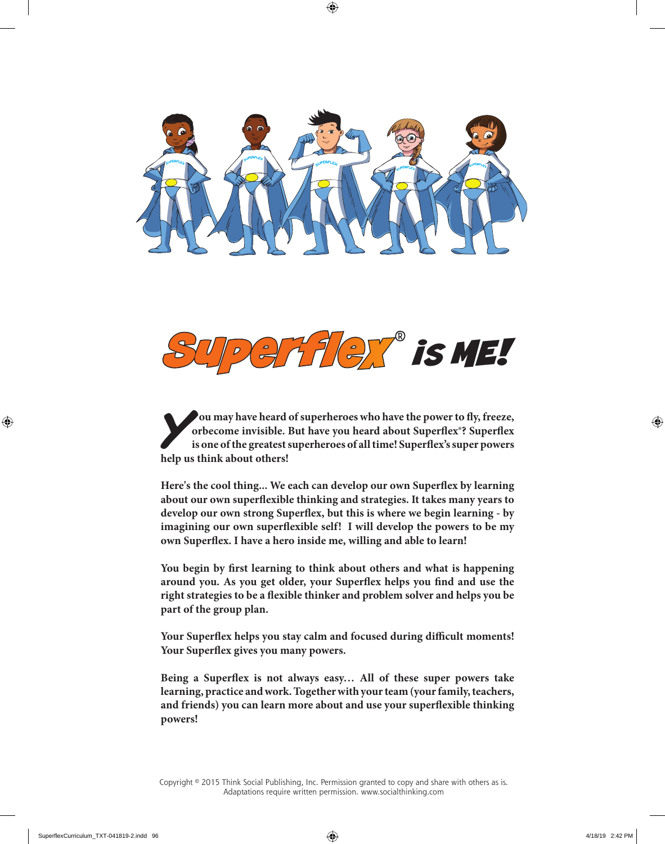



*Y**Ou may have heard of superheroes who have the power to fly, freeze, orbecome invisible. But have you heard about Superflex<sup>9</sup>? Superflex is one of the greatest superheroes of all time! Superflex<sup>9</sup> super powers* **orbecome invisible. But have you heard about Superflex®? Superflex is one of the greatest superheroes of all time! Superflex's super powers help us think about others!**

**Here's the cool thing... We each can develop our own Superflex by learning about our own superflexible thinking and strategies. It takes many years to develop our own strong Superflex, but this is where we begin learning - by imagining our own superflexible self! I will develop the powers to be my own Superflex. I have a hero inside me, willing and able to learn!**

**You begin by first learning to think about others and what is happening around you. As you get older, your Superflex helps you find and use the right strategies to be a flexible thinker and problem solver and helps you be part of the group plan.**

**Your Superflex helps you stay calm and focused during difficult moments! Your Superflex gives you many powers.**

**Being a Superflex is not always easy… All of these super powers take learning, practice and work. Together with your team (your family, teachers, and friends) you can learn more about and use your superflexible thinking powers!**